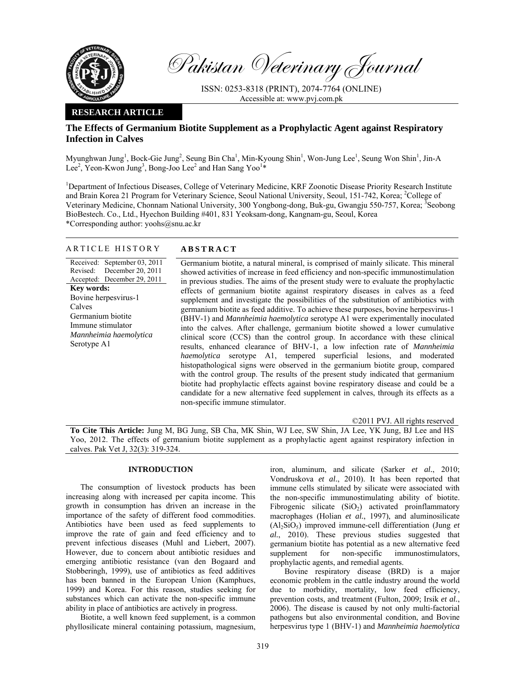

Pakistan Veterinary Journal

ISSN: 0253-8318 (PRINT), 2074-7764 (ONLINE) Accessible at: www.pvj.com.pk

## **RESEARCH ARTICLE**

# **The Effects of Germanium Biotite Supplement as a Prophylactic Agent against Respiratory Infection in Calves**

Myunghwan Jung<sup>1</sup>, Bock-Gie Jung<sup>2</sup>, Seung Bin Cha<sup>1</sup>, Min-Kyoung Shin<sup>1</sup>, Won-Jung Lee<sup>1</sup>, Seung Won Shin<sup>1</sup>, Jin-A Lee<sup>2</sup>, Yeon-Kwon Jung<sup>3</sup>, Bong-Joo Lee<sup>2</sup> and Han Sang Yoo<sup>1\*</sup>

<sup>1</sup>Department of Infectious Diseases, College of Veterinary Medicine, KRF Zoonotic Disease Priority Research Institute and Brain Korea 21 Program for Veterinary Science, Seoul National University, Seoul, 151-742, Korea; <sup>2</sup>College of Veterinary Medicine, Chonnam National University, 300 Yongbong-dong, Buk-gu, Gwangju 550-757, Korea; <sup>3</sup>Seobong BioBestech. Co., Ltd., Hyechon Building #401, 831 Yeoksam-dong, Kangnam-gu, Seoul, Korea \*Corresponding author: yoohs@snu.ac.kr

## ARTICLE HISTORY **ABSTRACT**

Received: September 03, 2011 Revised: Accepted: December 29, 2011 December 20, 2011 **Key words:**  Bovine herpesvirus-1 Calves Germanium biotite Immune stimulator *Mannheimia haemolytica*  Serotype A1

Germanium biotite, a natural mineral, is comprised of mainly silicate. This mineral showed activities of increase in feed efficiency and non-specific immunostimulation in previous studies. The aims of the present study were to evaluate the prophylactic effects of germanium biotite against respiratory diseases in calves as a feed supplement and investigate the possibilities of the substitution of antibiotics with germanium biotite as feed additive. To achieve these purposes, bovine herpesvirus-1 (BHV-1) and *Mannheimia haemolytica* serotype A1 were experimentally inoculated into the calves. After challenge, germanium biotite showed a lower cumulative clinical score (CCS) than the control group. In accordance with these clinical results, enhanced clearance of BHV-1, a low infection rate of *Mannheimia haemolytica* serotype A1, tempered superficial lesions, and moderated histopathological signs were observed in the germanium biotite group, compared with the control group. The results of the present study indicated that germanium biotite had prophylactic effects against bovine respiratory disease and could be a candidate for a new alternative feed supplement in calves, through its effects as a non-specific immune stimulator.

©2011 PVJ. All rights reserved

**To Cite This Article:** Jung M, BG Jung, SB Cha, MK Shin, WJ Lee, SW Shin, JA Lee, YK Jung, BJ Lee and HS Yoo, 2012. The effects of germanium biotite supplement as a prophylactic agent against respiratory infection in calves. Pak Vet J, 32(3): 319-324.

## **INTRODUCTION**

The consumption of livestock products has been increasing along with increased per capita income. This growth in consumption has driven an increase in the importance of the safety of different food commodities. Antibiotics have been used as feed supplements to improve the rate of gain and feed efficiency and to prevent infectious diseases (Muhl and Liebert, 2007). However, due to concern about antibiotic residues and emerging antibiotic resistance (van den Bogaard and Stobberingh, 1999), use of antibiotics as feed additives has been banned in the European Union (Kamphues, 1999) and Korea. For this reason, studies seeking for substances which can activate the non-specific immune ability in place of antibiotics are actively in progress.

Biotite, a well known feed supplement, is a common phyllosilicate mineral containing potassium, magnesium,

iron, aluminum, and silicate (Sarker *et al.*, 2010; Vondruskova *et al.*, 2010). It has been reported that immune cells stimulated by silicate were associated with the non-specific immunostimulating ability of biotite. Fibrogenic silicate  $(SiO<sub>2</sub>)$  activated proinflammatory macrophages (Holian *et al.*, 1997), and aluminosilicate  $(A<sub>1</sub>, SiO<sub>5</sub>)$  improved immune-cell differentiation (Jung *et*) *al.*, 2010). These previous studies suggested that germanium biotite has potential as a new alternative feed supplement for non-specific immunostimulators, prophylactic agents, and remedial agents.

Bovine respiratory disease (BRD) is a major economic problem in the cattle industry around the world due to morbidity, mortality, low feed efficiency, prevention costs, and treatment (Fulton, 2009; Irsik *et al.*, 2006). The disease is caused by not only multi-factorial pathogens but also environmental condition, and Bovine herpesvirus type 1 (BHV-1) and *Mannheimia haemolytica*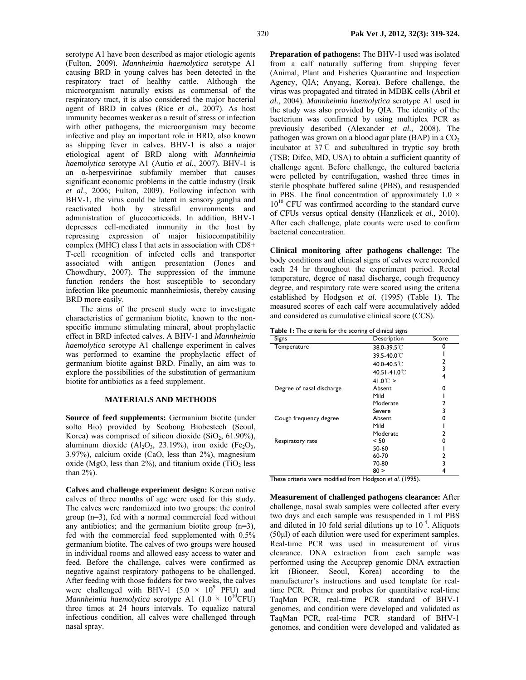serotype A1 have been described as major etiologic agents (Fulton, 2009). *Mannheimia haemolytica* serotype A1 causing BRD in young calves has been detected in the respiratory tract of healthy cattle. Although the microorganism naturally exists as commensal of the respiratory tract, it is also considered the major bacterial agent of BRD in calves (Rice *et al.*, 2007). As host immunity becomes weaker as a result of stress or infection with other pathogens, the microorganism may become infective and play an important role in BRD, also known as shipping fever in calves. BHV-1 is also a major etiological agent of BRD along with *Mannheimia haemolytica* serotype A1 (Autio *et al.*, 2007). BHV-1 is an α-herpesvirinae subfamily member that causes significant economic problems in the cattle industry (Irsik *et al*., 2006; Fulton, 2009). Following infection with BHV-1, the virus could be latent in sensory ganglia and reactivated both by stressful environments and administration of glucocorticoids. In addition, BHV-1 depresses cell-mediated immunity in the host by repressing expression of major histocompatibility complex (MHC) class І that acts in association with CD8+ T-cell recognition of infected cells and transporter associated with antigen presentation (Jones and Chowdhury, 2007). The suppression of the immune function renders the host susceptible to secondary infection like pneumonic mannheimiosis, thereby causing BRD more easily.

The aims of the present study were to investigate characteristics of germanium biotite, known to the nonspecific immune stimulating mineral, about prophylactic effect in BRD infected calves. A BHV-1 and *Mannheimia haemolytica* serotype A1 challenge experiment in calves was performed to examine the prophylactic effect of germanium biotite against BRD. Finally, an aim was to explore the possibilities of the substitution of germanium biotite for antibiotics as a feed supplement.

## **MATERIALS AND METHODS**

**Source of feed supplements:** Germanium biotite (under solto Bio) provided by Seobong Biobestech (Seoul, Korea) was comprised of silicon dioxide  $(SiO<sub>2</sub>, 61.90\%),$ aluminum dioxide  $(A_1Q_3, 23.19\%)$ , iron oxide (Fe<sub>2</sub>O<sub>3</sub>, 3.97%), calcium oxide (CaO, less than 2%), magnesium oxide (MgO, less than  $2\%$ ), and titanium oxide (TiO<sub>2</sub> less than 2%).

**Calves and challenge experiment design:** Korean native calves of three months of age were used for this study. The calves were randomized into two groups: the control group (n=3), fed with a normal commercial feed without any antibiotics; and the germanium biotite group  $(n=3)$ , fed with the commercial feed supplemented with 0.5% germanium biotite. The calves of two groups were housed in individual rooms and allowed easy access to water and feed. Before the challenge, calves were confirmed as negative against respiratory pathogens to be challenged. After feeding with those fodders for two weeks, the calves were challenged with BHV-1  $(5.0 \times 10^9 \text{ PFU})$  and *Mannheimia haemolytica* serotype A1  $(1.0 \times 10^{10}$ CFU) three times at 24 hours intervals. To equalize natural infectious condition, all calves were challenged through nasal spray.

**Preparation of pathogens:** The BHV-1 used was isolated from a calf naturally suffering from shipping fever (Animal, Plant and Fisheries Quarantine and Inspection Agency, QIA; Anyang, Korea). Before challenge, the virus was propagated and titrated in MDBK cells (Abril *et al.*, 2004). *Mannheimia haemolytica* serotype A1 used in the study was also provided by QIA. The identity of the bacterium was confirmed by using multiplex PCR as previously described (Alexander *et al.*, 2008). The pathogen was grown on a blood agar plate (BAP) in a  $CO<sub>2</sub>$ incubator at 37℃ and subcultured in tryptic soy broth (TSB; Difco, MD, USA) to obtain a sufficient quantity of challenge agent. Before challenge, the cultured bacteria were pelleted by centrifugation, washed three times in sterile phosphate buffered saline (PBS), and resuspended in PBS. The final concentration of approximately  $1.0 \times$ 10<sup>10</sup> CFU was confirmed according to the standard curve of CFUs versus optical density (Hanzlicek *et al.*, 2010). After each challenge, plate counts were used to confirm bacterial concentration.

**Clinical monitoring after pathogens challenge:** The body conditions and clinical signs of calves were recorded each 24 hr throughout the experiment period. Rectal temperature, degree of nasal discharge, cough frequency degree, and respiratory rate were scored using the criteria established by Hodgson *et al.* (1995) (Table 1). The measured scores of each calf were accumulatively added and considered as cumulative clinical score (CCS).

**Table 1:** The criteria for the scoring of clinical signs

| Signs                     | Description               | Score |
|---------------------------|---------------------------|-------|
| Temperature               | 38.0-39.5 °C              |       |
|                           | 39.5-40.0℃                |       |
|                           | 40.0-40.5℃                | 2     |
|                           | 40.51-41.0 <sup>°</sup> C | 3     |
|                           | 41.0 $\degree$ C >        | 4     |
| Degree of nasal discharge | Absent                    | o     |
|                           | Mild                      |       |
|                           | Moderate                  | 2     |
|                           | Severe                    | 3     |
| Cough frequency degree    | Absent                    | n     |
|                           | Mild                      |       |
|                           | Moderate                  | 2     |
| Respiratory rate          | < 50                      | o     |
|                           | 50-60                     |       |
|                           | 60-70                     | 2     |
|                           | 70-80                     | 3     |
|                           | 80 >                      |       |

These criteria were modified from Hodgson *et al*. (1995).

**Measurement of challenged pathogens clearance:** After challenge, nasal swab samples were collected after every two days and each sample was resuspended in 1 ml PBS and diluted in 10 fold serial dilutions up to  $10^{-4}$ . Aliquots (50µl) of each dilution were used for experiment samples. Real-time PCR was used in measurement of virus clearance. DNA extraction from each sample was performed using the Accuprep genomic DNA extraction kit (Bioneer, Seoul, Korea) according to the manufacturer's instructions and used template for realtime PCR. Primer and probes for quantitative real-time TaqMan PCR, real-time PCR standard of BHV-1 genomes, and condition were developed and validated as TaqMan PCR, real-time PCR standard of BHV-1 genomes, and condition were developed and validated as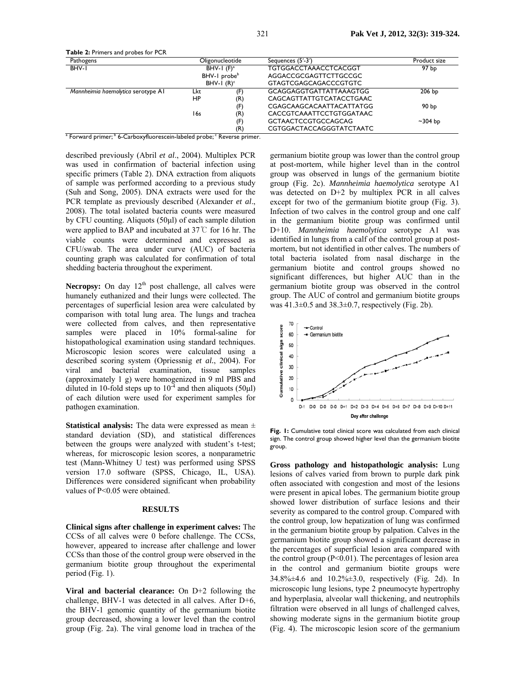**Table 2:** Primers and probes for PCR

| Pathogens                          |               | Oligonucleotide          | Sequences (5'-3')            | Product size |
|------------------------------------|---------------|--------------------------|------------------------------|--------------|
| BHV-I                              | BHV-1 $(F)^a$ |                          | <b>TGTGGACCTAAACCTCACGGT</b> | 97 bp        |
|                                    |               | BHV-1 probe <sup>b</sup> | AGGACCGCGAGTTCTTGCCGC        |              |
|                                    |               | BHV-1 $(R)^c$            | <b>GTAGTCGAGCAGACCCGTGTC</b> |              |
| Mannheimia haemolytica serotype AI | Lkt           | (F)                      | GCAGGAGGTGATTATTAAAGTGG      | 206 bp       |
|                                    | <b>HP</b>     | (R)                      | CAGCAGTTATTGTCATACCTGAAC     |              |
|                                    |               | (F)                      | CGAGCAAGCACAATTACATTATGG     | 90 bp        |
|                                    | 16s           | (R)                      | CACCGTCAAATTCCTGTGGATAAC     |              |
|                                    |               | (F)                      | <b>GCTAACTCCGTGCCAGCAG</b>   | $~1$ -304 bp |
|                                    |               | (R)                      | CGTGGACTACCAGGGTATCTAATC     |              |

<sup>a</sup> Forward primer; <sup>b</sup> 6-Carboxyfluorescein-labeled probe; <sup>c</sup> Reverse primer.

described previously (Abril *et al*., 2004). Multiplex PCR was used in confirmation of bacterial infection using specific primers (Table 2). DNA extraction from aliquots of sample was performed according to a previous study (Suh and Song, 2005). DNA extracts were used for the PCR template as previously described (Alexander *et al*., 2008). The total isolated bacteria counts were measured by CFU counting. Aliquots (50µl) of each sample dilution were applied to BAP and incubated at 37℃ for 16 hr. The viable counts were determined and expressed as CFU/swab. The area under curve (AUC) of bacteria counting graph was calculated for confirmation of total shedding bacteria throughout the experiment.

Necropsy: On day 12<sup>th</sup> post challenge, all calves were humanely euthanized and their lungs were collected. The percentages of superficial lesion area were calculated by comparison with total lung area. The lungs and trachea were collected from calves, and then representative samples were placed in 10% formal-saline for histopathological examination using standard techniques. Microscopic lesion scores were calculated using a described scoring system (Opriessnig *et al.*, 2004). For viral and bacterial examination, tissue samples (approximately 1 g) were homogenized in 9 ml PBS and diluted in 10-fold steps up to  $10^{-4}$  and then aliquots (50 $\mu$ l) of each dilution were used for experiment samples for pathogen examination.

**Statistical analysis:** The data were expressed as mean ± standard deviation (SD), and statistical differences between the groups were analyzed with student's t-test; whereas, for microscopic lesion scores, a nonparametric test (Mann-Whitney U test) was performed using SPSS version 17.0 software (SPSS, Chicago, IL, USA). Differences were considered significant when probability values of P<0.05 were obtained.

## **RESULTS**

**Clinical signs after challenge in experiment calves:** The CCSs of all calves were 0 before challenge. The CCSs, however, appeared to increase after challenge and lower CCSs than those of the control group were observed in the germanium biotite group throughout the experimental period (Fig. 1).

**Viral and bacterial clearance:** On D+2 following the challenge, BHV-1 was detected in all calves. After D+6, the BHV-1 genomic quantity of the germanium biotite group decreased, showing a lower level than the control group (Fig. 2a). The viral genome load in trachea of the

germanium biotite group was lower than the control group at post-mortem, while higher level than in the control group was observed in lungs of the germanium biotite group (Fig. 2c). *Mannheimia haemolytica* serotype A1 was detected on D+2 by multiplex PCR in all calves except for two of the germanium biotite group (Fig. 3). Infection of two calves in the control group and one calf in the germanium biotite group was confirmed until D+10. *Mannheimia haemolytica* serotype A1 was identified in lungs from a calf of the control group at postmortem, but not identified in other calves. The numbers of total bacteria isolated from nasal discharge in the germanium biotite and control groups showed no significant differences, but higher AUC than in the germanium biotite group was observed in the control group. The AUC of control and germanium biotite groups was  $41.3\pm0.5$  and  $38.3\pm0.7$ , respectively (Fig. 2b).



Fig. 1: Cumulative total clinical score was calculated from each clinical sign. The control group showed higher level than the germanium biotite group.

**Gross pathology and histopathologic analysis:** Lung lesions of calves varied from brown to purple dark pink often associated with congestion and most of the lesions were present in apical lobes. The germanium biotite group showed lower distribution of surface lesions and their severity as compared to the control group. Compared with the control group, low hepatization of lung was confirmed in the germanium biotite group by palpation. Calves in the germanium biotite group showed a significant decrease in the percentages of superficial lesion area compared with the control group  $(P<0.01)$ . The percentages of lesion area in the control and germanium biotite groups were 34.8%±4.6 and 10.2%±3.0, respectively (Fig. 2d). In microscopic lung lesions, type 2 pneumocyte hypertrophy and hyperplasia, alveolar wall thickening, and neutrophils filtration were observed in all lungs of challenged calves, showing moderate signs in the germanium biotite group (Fig. 4). The microscopic lesion score of the germanium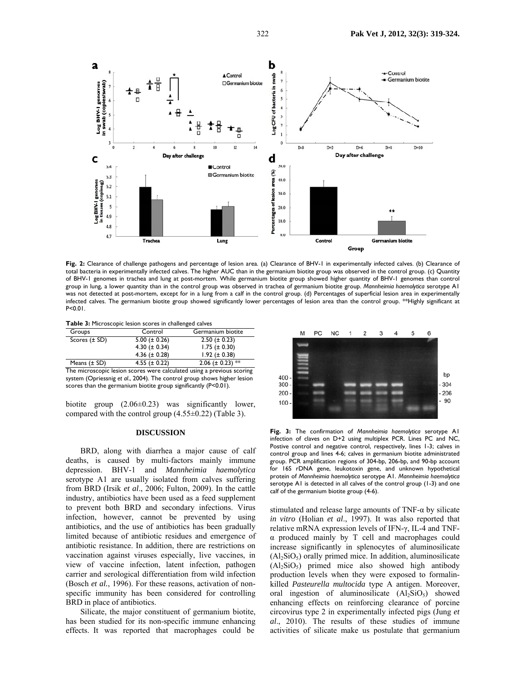

**Fig. 2:** Clearance of challenge pathogens and percentage of lesion area. (a) Clearance of BHV-1 in experimentally infected calves. (b) Clearance of total bacteria in experimentally infected calves. The higher AUC than in the germanium biotite group was observed in the control group. (c) Quantity of BHV-1 genomes in trachea and lung at post-mortem. While germanium biotite group showed higher quantity of BHV-1 genomes than control group in lung, a lower quantity than in the control group was observed in trachea of germanium biotite group. *Mannheimia haemolytica* serotype A1 was not detected at post-mortem, except for in a lung from a calf in the control group. (d) Percentages of superficial lesion area in experimentally infected calves. The germanium biotite group showed significantly lower percentages of lesion area than the control group. \*\*Highly significant at P<0.01.

**Table 3:** Microscopic lesion scores in challenged calves

| Groups              | Control            | Germanium biotite     |
|---------------------|--------------------|-----------------------|
| Scores $(\pm SD)$   | $5.00 (\pm 0.26)$  | $2.50 (\pm 0.23)$     |
|                     | 4.30 ( $\pm$ 0.34) | $1.75 (\pm 0.30)$     |
|                     | 4.36 ( $\pm$ 0.28) | $1.92 (\pm 0.38)$     |
| Means $(\pm SD)$    | 4.55 ( $\pm$ 0.22) | 2.06 ( $\pm$ 0.23) ** |
| --<br>$\sim$ $\sim$ |                    |                       |

The microscopic lesion scores were calculated using a previous scoring system (Opriessnig *et al*., 2004). The control group shows higher lesion scores than the germanium biotite group significantly (P<0.01).

biotite group (2.06±0.23) was significantly lower, compared with the control group (4.55±0.22) (Table 3).

#### **DISCUSSION**

BRD, along with diarrhea a major cause of calf deaths, is caused by multi-factors mainly immune depression. BHV-1 and *Mannheimia haemolytica* serotype A1 are usually isolated from calves suffering from BRD (Irsik *et al*., 2006; Fulton, 2009). In the cattle industry, antibiotics have been used as a feed supplement to prevent both BRD and secondary infections. Virus infection, however, cannot be prevented by using antibiotics, and the use of antibiotics has been gradually limited because of antibiotic residues and emergence of antibiotic resistance. In addition, there are restrictions on vaccination against viruses especially, live vaccines, in view of vaccine infection, latent infection, pathogen carrier and serological differentiation from wild infection (Bosch *et al.*, 1996). For these reasons, activation of nonspecific immunity has been considered for controlling BRD in place of antibiotics.

Silicate, the major constituent of germanium biotite, has been studied for its non-specific immune enhancing effects. It was reported that macrophages could be



**Fig. 3:** The confirmation of *Mannheimia haemolytica* serotype A1 infection of claves on D+2 using multiplex PCR. Lines PC and NC, Postive control and negative control, respectively, lines 1-3; calves in control group and lines 4-6; calves in germanium biotite administrated group. PCR amplification regions of 304-bp, 206-bp, and 90-bp account for 16S rDNA gene, leukotoxin gene, and unknown hypothetical protein of *Mannheimia haemolytica* serotype A1. *Mannheimia haemolytica* serotype A1 is detected in all calves of the control group (1-3) and one calf of the germanium biotite group (4-6).

stimulated and release large amounts of TNF-α by silicate *in vitro* (Holian *et al*., 1997). It was also reported that relative mRNA expression levels of IFN-γ, IL-4 and TNFα produced mainly by T cell and macrophages could increase significantly in splenocytes of aluminosilicate  $(Al<sub>2</sub>SiO<sub>5</sub>)$  orally primed mice. In addition, aluminosilicate  $(Al_2SiO_5)$  primed mice also showed high antibody production levels when they were exposed to formalinkilled *Pasteurella multocida* type A antigen. Moreover, oral ingestion of aluminosilicate  $(Al_2SiO_5)$  showed enhancing effects on reinforcing clearance of porcine circovirus type 2 in experimentally infected pigs (Jung *et al*., 2010). The results of these studies of immune activities of silicate make us postulate that germanium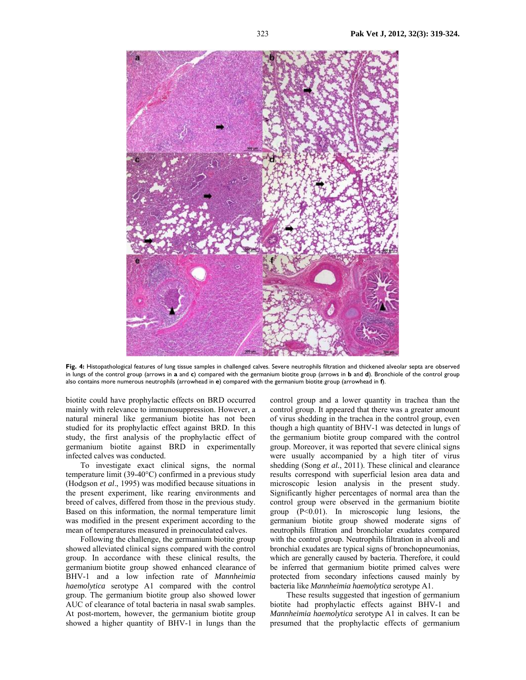

**Fig. 4:** Histopathological features of lung tissue samples in challenged calves. Severe neutrophils filtration and thickened alveolar septa are observed in lungs of the control group (arrows in **a** and **c**) compared with the germanium biotite group (arrows in **b** and **d**). Bronchiole of the control group also contains more numerous neutrophils (arrowhead in **e**) compared with the germanium biotite group (arrowhead in **f**).

biotite could have prophylactic effects on BRD occurred mainly with relevance to immunosuppression. However, a natural mineral like germanium biotite has not been studied for its prophylactic effect against BRD. In this study, the first analysis of the prophylactic effect of germanium biotite against BRD in experimentally infected calves was conducted.

To investigate exact clinical signs, the normal temperature limit (39-40°C) confirmed in a previous study (Hodgson *et al*., 1995) was modified because situations in the present experiment, like rearing environments and breed of calves, differed from those in the previous study. Based on this information, the normal temperature limit was modified in the present experiment according to the mean of temperatures measured in preinoculated calves.

Following the challenge, the germanium biotite group showed alleviated clinical signs compared with the control group. In accordance with these clinical results, the germanium biotite group showed enhanced clearance of BHV-1 and a low infection rate of *Mannheimia haemolytica* serotype A1 compared with the control group. The germanium biotite group also showed lower AUC of clearance of total bacteria in nasal swab samples. At post-mortem, however, the germanium biotite group showed a higher quantity of BHV-1 in lungs than the

control group and a lower quantity in trachea than the control group. It appeared that there was a greater amount of virus shedding in the trachea in the control group, even though a high quantity of BHV-1 was detected in lungs of the germanium biotite group compared with the control group. Moreover, it was reported that severe clinical signs were usually accompanied by a high titer of virus shedding (Song *et al.*, 2011). These clinical and clearance results correspond with superficial lesion area data and microscopic lesion analysis in the present study. Significantly higher percentages of normal area than the control group were observed in the germanium biotite group  $(P<0.01)$ . In microscopic lung lesions, the germanium biotite group showed moderate signs of neutrophils filtration and bronchiolar exudates compared with the control group. Neutrophils filtration in alveoli and bronchial exudates are typical signs of bronchopneumonias, which are generally caused by bacteria. Therefore, it could be inferred that germanium biotite primed calves were protected from secondary infections caused mainly by bacteria like *Mannheimia haemolytica* serotype A1.

 These results suggested that ingestion of germanium biotite had prophylactic effects against BHV-1 and *Mannheimia haemolytica* serotype A1 in calves. It can be presumed that the prophylactic effects of germanium